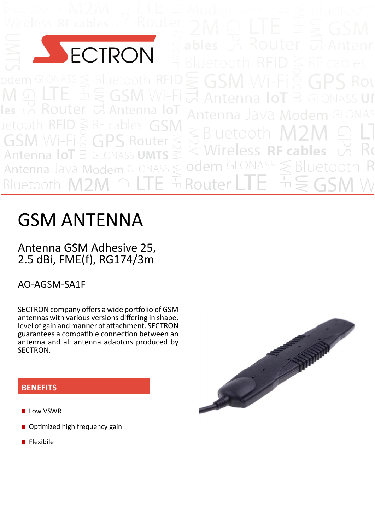

uetoot

Rout  $\bigcap$ 

# GSM ANTENNA

## Antenna GSM Adhesive 25, 2.5 dBi, FME(f), RG174/3m

AO‐AGSM‐SA1F

SECTRON company offers a wide portfolio of GSM antennas with various versions differing in shape, level of gain and manner of attachment. SECTRON guarantees a compatible connection between an antenna and all antenna adaptors produced by SECTRON.

### **BENEFITS**

- **Low VSWR**
- Optimized high frequency gain
- **Flexibile**

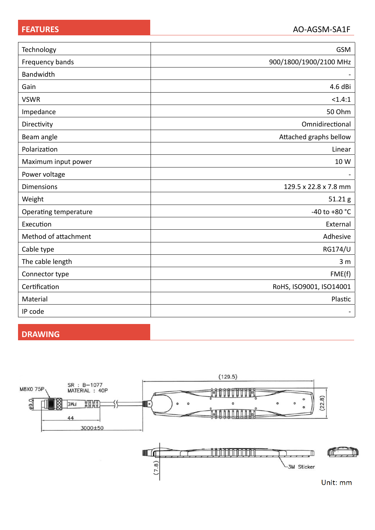| Technology            | <b>GSM</b>              |
|-----------------------|-------------------------|
| Frequency bands       | 900/1800/1900/2100 MHz  |
| Bandwidth             |                         |
| Gain                  | 4.6 dBi                 |
| <b>VSWR</b>           | <1.4:1                  |
| Impedance             | 50 Ohm                  |
| Directivity           | Omnidirectional         |
| Beam angle            | Attached graphs bellow  |
| Polarization          | Linear                  |
| Maximum input power   | 10 W                    |
| Power voltage         |                         |
| <b>Dimensions</b>     | 129.5 x 22.8 x 7.8 mm   |
| Weight                | 51.21g                  |
| Operating temperature | -40 to +80 $^{\circ}$ C |
| Execution             | External                |
| Method of attachment  | Adhesive                |
| Cable type            | <b>RG174/U</b>          |
| The cable length      | 3 <sub>m</sub>          |
| Connector type        | FME(f)                  |
| Certification         | RoHS, ISO9001, ISO14001 |
| Material              | Plastic                 |
| IP code               |                         |

#### **DRAWING**

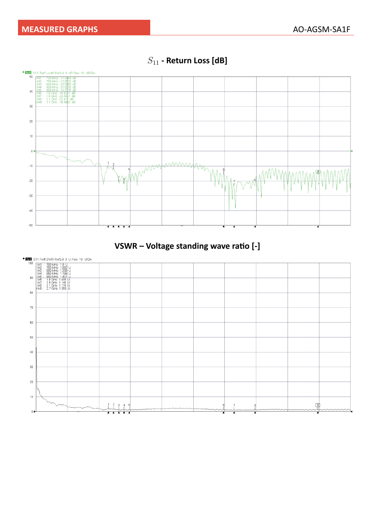

 $S_{11}$  - Return Loss [dB]



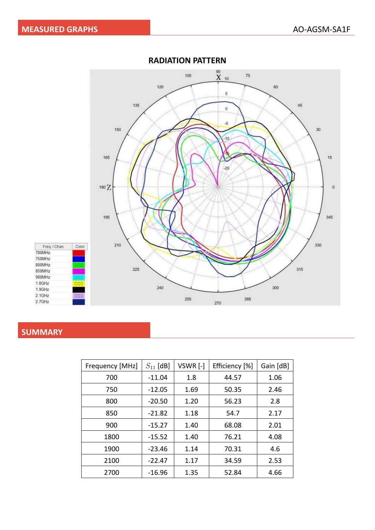

#### **RADIATION PATTERN**

#### **SUMMARY**

| Frequency [MHz] | $S_{11}$ [dB] | VSWR [-] | Efficiency [%] | Gain [dB] |
|-----------------|---------------|----------|----------------|-----------|
| 700             | $-11.04$      | 1.8      | 44.57          | 1.06      |
| 750             | $-12.05$      | 1.69     | 50.35          | 2.46      |
| 800             | $-20.50$      | 1.20     | 56.23          | 2.8       |
| 850             | $-21.82$      | 1.18     | 54.7           | 2.17      |
| 900             | $-15.27$      | 1.40     | 68.08          | 2.01      |
| 1800            | $-15.52$      | 1.40     | 76.21          | 4.08      |
| 1900            | $-23.46$      | 1.14     | 70.31          | 4.6       |
| 2100            | $-22.47$      | 1.17     | 34.59          | 2.53      |
| 2700            | $-16.96$      | 1.35     | 52.84          | 4.66      |